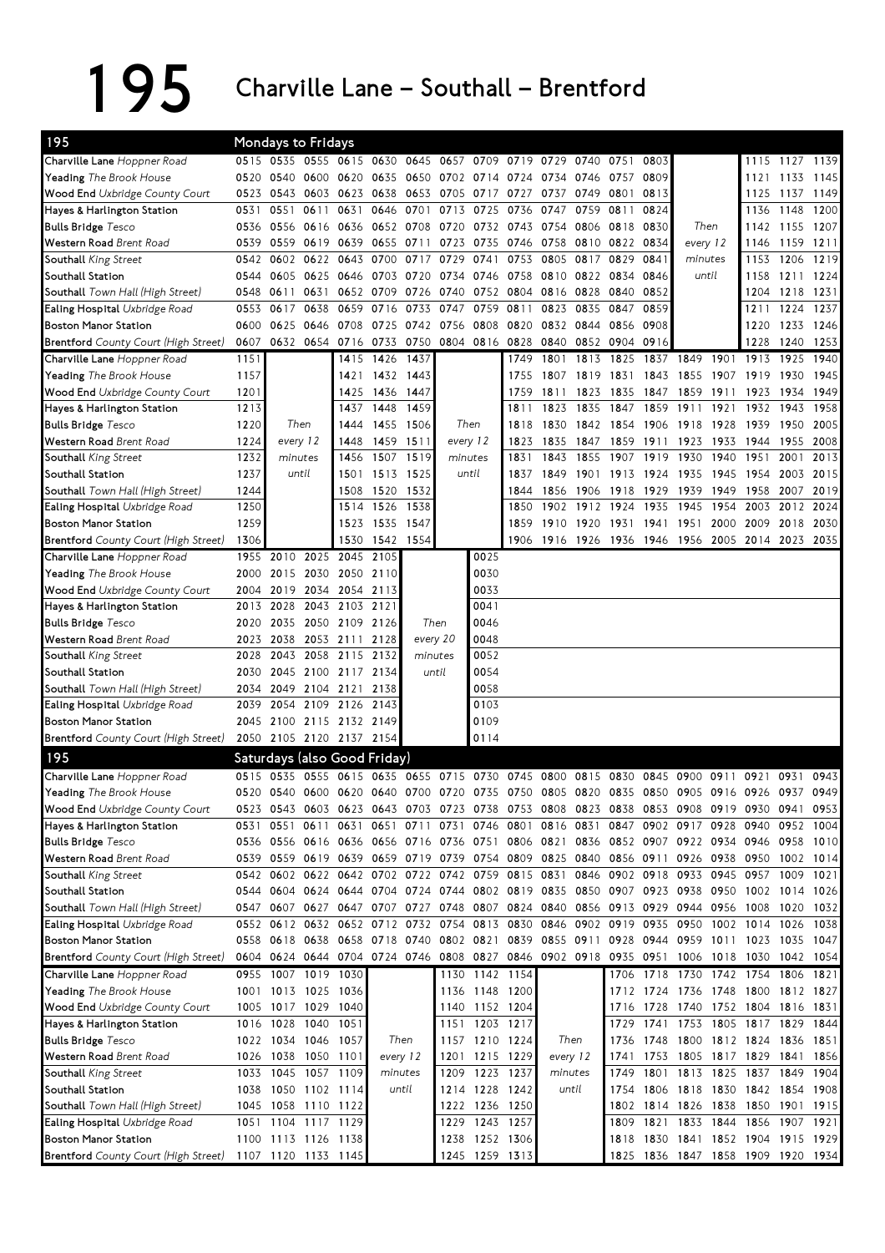195 Charville Lane – Southall – Brentford

| 195                                                  |              | <b>Mondays to Fridays</b>                  |                     |                |                                              |                  |                          |                                  |                                                                                           |                                                   |              |                          |              |                                                                |              |                     |                |              |
|------------------------------------------------------|--------------|--------------------------------------------|---------------------|----------------|----------------------------------------------|------------------|--------------------------|----------------------------------|-------------------------------------------------------------------------------------------|---------------------------------------------------|--------------|--------------------------|--------------|----------------------------------------------------------------|--------------|---------------------|----------------|--------------|
| Charville Lane Hoppner Road                          |              |                                            |                     |                | 0515 0535 0555 0615 0630 0645 0657 0709 0719 |                  |                          |                                  |                                                                                           | 0729                                              | 0740         | 0751                     | 0803         |                                                                |              |                     | 1115 1127 1139 |              |
| <b>Yeading</b> The Brook House                       | 0520         | 0540                                       | 0600 0620           |                | 0635                                         | 0650             | 0702 0714 0724           |                                  |                                                                                           | 0734 0746                                         |              | 0757                     | 0809         |                                                                |              | 1121                | 1133           | 1145         |
| Wood End Uxbridge County Court                       | 0523         |                                            | 0543 0603 0623      |                | 0638 0653                                    |                  |                          | 0705 0717 0727                   |                                                                                           | 0737                                              | 0749 0801    |                          | 0813         |                                                                |              | 1125                | 1137           | 1149         |
| Hayes & Harlington Station                           | 0531         | 0551                                       | 0611                | 0631           | 0646                                         | 0701             | 0713                     |                                  | 0725 0736                                                                                 | 0747                                              | 0759         | 0811                     | 0824         |                                                                |              | 1136                | 1148           | 1200         |
| <b>Bulls Bridge</b> Tesco                            | 0536         | 0556                                       | 0616                | 0636           |                                              | 0652 0708        | 0720                     |                                  | 0732 0743                                                                                 | 0754                                              | 0806         | 0818                     | 0830         | Then                                                           |              |                     | 1142 1155 1207 |              |
| Western Road Brent Road                              | 0539         | 0559                                       | 0619                | 0639           | 0655                                         | 0711             | 0723                     | 0735                             | 0746                                                                                      | 0758                                              |              | 0810 0822                | 0834         | every 12                                                       |              | 1146                | 1159 1211      |              |
| Southall King Street                                 | 0542         | 0602                                       | 0622                | 0643           | 0700                                         | 0717             | 0729                     | 0741                             | 0753                                                                                      | 0805                                              | 0817         | 0829                     | 0841         | minutes                                                        |              | 1153                | 1206           | 1219         |
| Southall Station                                     | 0544         | 0605                                       | 0625                | 0646           |                                              | 0703 0720        | 0734                     | 0758<br>0746                     |                                                                                           |                                                   | 0810 0822    | 0846<br>0834             |              | until                                                          |              | 1158                | 1211           | 1224         |
| Southall Town Hall (High Street)                     | 0548         | 0611                                       | 0631                | 0652           | 0709                                         | 0726             | 0740                     |                                  | 0752 0804                                                                                 |                                                   | 0816 0828    | 0840                     | 0852         |                                                                |              | 1204                | 1218           | 1231         |
| Ealing Hospital Uxbridge Road                        | 0553         | 0617                                       | 0638                | 0659           | 0716                                         | 0733             | 0747                     | 0759                             | 0811                                                                                      | 0823<br>0835                                      |              | 0847                     | 0859         |                                                                |              | 1211                | 1224           | 1237         |
| <b>Boston Manor Station</b>                          |              | 0600 0625                                  | 0646                | 0708           | 0725 0742 0756                               |                  |                          | 0808 0820                        |                                                                                           | 0832 0844                                         |              | 0856                     | 0908         |                                                                |              | 1220                | 1233 1246      |              |
| <b>Brentford</b> County Court (High Street)          | 0607         |                                            |                     |                | 0632 0654 0716 0733 0750 0804 0816 0828      |                  |                          |                                  |                                                                                           | 0840                                              |              | 0852 0904                | 0916         |                                                                |              | 1228                | 1240           | 1253         |
| Charville Lane Hoppner Road                          | 1151         |                                            |                     | 1415           | 1426                                         | 1437             |                          |                                  | 1749                                                                                      | 1801                                              | 1813         | 1825                     | 1837         | 1849                                                           | 1901         | 1913                | 1925           | 1940         |
| <b>Yeading</b> The Brook House                       | 1157         |                                            |                     | 1421           | 1432                                         | 1443             |                          |                                  | 1755                                                                                      | 1807                                              | 1819         | 1831                     | 1843         | 1855                                                           | 1907         | 1919                | 1930           | 1945         |
| Wood End Uxbridge County Court                       | 1201         |                                            |                     | 1425           | 1436                                         | 1447             |                          |                                  | 1759                                                                                      | 1811                                              | 1823         | 1835                     | 1847         | 1859                                                           | 1911         | 1923                | 1934           | 1949         |
| Hayes & Harlington Station                           | 1213         |                                            |                     | 1437           | 1448<br>1455 1506                            | 1459             |                          | Then                             | 1811                                                                                      | 1823                                              | 1835         | 1847                     | 1859         | 1911                                                           | 1921         | 1932                | 1943           | 1958         |
| <b>Bulls Bridge Tesco</b>                            | 1220<br>1224 |                                            | Then<br>every 12    | 1444           |                                              |                  |                          |                                  | 1818                                                                                      | 1830                                              | 1842 1854    |                          | 1906 1918    |                                                                | 1928         | 1939<br>1944        | 1950<br>1955   | 2005<br>2008 |
| Western Road Brent Road                              | 1232         |                                            | minutes             | 1448<br>1456   | 1459 1511<br>1507                            | 1519             | minutes                  | every 12                         | 1823<br>1831                                                                              | 1835<br>1843                                      | 1847<br>1855 | 1859<br>1907             | 1911<br>1919 | 1923<br>1930                                                   | 1933<br>1940 | 1951                | 2001           | 2013         |
| Southall King Street<br>Southall Station             | 1237         |                                            | until               | 1501           |                                              | 1513 1525        |                          | until                            | 1837                                                                                      | 1849                                              | 1901         | 1913                     | 1924         | 1935                                                           | 1945         | 1954                | 2003           | 2015         |
| Southall Town Hall (High Street)                     | 1244         |                                            |                     | 1508           | 1520                                         | 1532             |                          |                                  | 1844                                                                                      | 1856                                              | 1906         | 1918                     | 1929         | 1939                                                           | 1949         | 1958                | 2007           | 2019         |
| Ealing Hospital Uxbridge Road                        | 1250         |                                            |                     | 1514           | 1526                                         | 1538             |                          |                                  | 1850                                                                                      | 1902                                              | 1912         | 1924                     | 1935         | 1945                                                           | 1954         | 2003                | 2012           | 2024         |
| <b>Boston Manor Station</b>                          | 1259         |                                            |                     | 1523           | 1535 1547                                    |                  |                          |                                  |                                                                                           |                                                   | 1910 1920    | 1931                     | 1941         | 1951                                                           | 2000         | 2009                | 2018           | 2030         |
| <b>Brentford</b> County Court (High Street)          | 1306         |                                            |                     | 1530           | 1542 1554                                    |                  |                          |                                  |                                                                                           | 1906 1916 1926 1936 1946 1956 2005 2014 2023 2035 |              |                          |              |                                                                |              |                     |                |              |
| Charville Lane Hoppner Road                          | 1955         | 2010                                       | 2025                | 2045           | 2105                                         |                  |                          | 0025                             |                                                                                           |                                                   |              |                          |              |                                                                |              |                     |                |              |
| <b>Yeading</b> The Brook House                       | 2000         | 2015                                       | 2030                | 2050           | 2110                                         |                  |                          | 0030                             |                                                                                           |                                                   |              |                          |              |                                                                |              |                     |                |              |
| <b>Wood End</b> Uxbridge County Court                | 2004         | 2019                                       |                     | 2034 2054 2113 |                                              |                  |                          | 0033                             |                                                                                           |                                                   |              |                          |              |                                                                |              |                     |                |              |
| Hayes & Harlington Station                           | 2013         | 2028                                       |                     | 2043 2103      | 2121                                         |                  |                          | 0041                             |                                                                                           |                                                   |              |                          |              |                                                                |              |                     |                |              |
| <b>Bulls Bridge Tesco</b>                            | 2020         | 2035                                       | 2050 2109 2126      |                |                                              |                  | Then                     | 0046                             |                                                                                           |                                                   |              |                          |              |                                                                |              |                     |                |              |
| Western Road Brent Road                              | 2023         | 2038                                       |                     | 2053 2111      | 2128                                         |                  | every 20                 | 0048                             |                                                                                           |                                                   |              |                          |              |                                                                |              |                     |                |              |
| Southall King Street                                 | 2028         | 2043                                       | 2058                | 2115           | 2132                                         | minutes          |                          | 0052                             |                                                                                           |                                                   |              |                          |              |                                                                |              |                     |                |              |
| Southall Station                                     | 2030         |                                            | 2045 2100 2117      |                | 2134                                         |                  | until                    | 0054                             |                                                                                           |                                                   |              |                          |              |                                                                |              |                     |                |              |
| Southall Town Hall (High Street)                     | 2034         | 2049                                       | 2104 2121           |                | 2138                                         |                  |                          | 0058                             |                                                                                           |                                                   |              |                          |              |                                                                |              |                     |                |              |
| Ealing Hospital Uxbridge Road                        | 2039         | 2054                                       |                     | 2109 2126      | 2143                                         |                  |                          | 0103                             |                                                                                           |                                                   |              |                          |              |                                                                |              |                     |                |              |
| <b>Boston Manor Station</b>                          | 2045         |                                            | 2100 2115 2132 2149 |                |                                              |                  |                          | 0109                             |                                                                                           |                                                   |              |                          |              |                                                                |              |                     |                |              |
| Brentford County Court (High Street)                 |              | 2050 2105 2120 2137 2154                   |                     |                |                                              |                  |                          | 0114                             |                                                                                           |                                                   |              |                          |              |                                                                |              |                     |                |              |
| 195                                                  |              |                                            |                     |                | Saturdays (also Good Friday)                 |                  |                          |                                  |                                                                                           |                                                   |              |                          |              |                                                                |              |                     |                |              |
| Charville Lane Hoppner Road                          | 0515         | 0535                                       | 0555                | 0615           | 0635                                         | 0655             | 0715                     | 0730                             | 0745                                                                                      | 0800                                              | 0815         | 0830                     | 0845         | 0900                                                           | 0911         | 0921                | 0931           | 0943         |
| Yeading The Brook House                              |              |                                            |                     |                |                                              |                  |                          |                                  | 0520 0540 0600 0620 0640 0700 0720 0735 0750 0805 0820 0835 0850 0905 0916 0926 0937      |                                                   |              |                          |              |                                                                |              |                     |                | 0949         |
| Wood End Uxbridge County Court                       |              |                                            |                     |                |                                              |                  | 0651 0711 0731 0746 0801 |                                  | 0523 0543 0603 0623 0643 0703 0723 0738 0753 0808 0823 0838 0853 0908 0919 0930 0941 0953 |                                                   | 0816 0831    |                          |              | 0847 0902 0917 0928                                            |              |                     | 0952           |              |
| Hayes & Harlington Station                           | 0531         | 0551                                       | 0611                | 0631           |                                              |                  |                          |                                  |                                                                                           |                                                   |              |                          |              | 0836 0852 0907 0922 0934 0946 0958 1010                        |              | 0940                |                | 1004         |
| <b>Bulls Bridge Tesco</b><br>Western Road Brent Road |              |                                            |                     |                | 0539 0559 0619 0639 0659 0719 0739 0754 0809 |                  |                          |                                  | 0536 0556 0616 0636 0656 0716 0736 0751 0806 0821                                         | 0825 0840 0856 0911 0926 0938 0950 1002           |              |                          |              |                                                                |              |                     |                | 1014         |
| Southall King Street                                 |              |                                            |                     |                | 0542 0602 0622 0642 0702 0722 0742 0759 0815 |                  |                          |                                  |                                                                                           | 0831 0846 0902 0918 0933 0945 0957 1009           |              |                          |              |                                                                |              |                     |                | 1021         |
| Southall Station                                     |              |                                            |                     |                |                                              |                  |                          |                                  | 0544 0604 0624 0644 0704 0724 0744 0802 0819 0835 0850 0907 0923 0938 0950 1002 1014 1026 |                                                   |              |                          |              |                                                                |              |                     |                |              |
| Southall Town Hall (High Street)                     |              |                                            |                     |                | 0547 0607 0627 0647 0707 0727 0748 0807 0824 |                  |                          |                                  |                                                                                           | 0840 0856 0913 0929 0944 0956                     |              |                          |              |                                                                |              | 1008 1020           |                | 1032         |
| Ealing Hospital Uxbridge Road                        |              |                                            |                     |                | 0552 0612 0632 0652 0712 0732 0754 0813 0830 |                  |                          |                                  |                                                                                           |                                                   |              | 0846 0902 0919 0935 0950 |              |                                                                |              | 1002 1014 1026 1038 |                |              |
| <b>Boston Manor Station</b>                          |              |                                            |                     |                | 0558 0618 0638 0658 0718 0740 0802 0821 0839 |                  |                          |                                  |                                                                                           | 0855 0911 0928 0944 0959 1011 1023 1035 1047      |              |                          |              |                                                                |              |                     |                |              |
| Brentford County Court (High Street)                 |              |                                            |                     |                |                                              |                  |                          |                                  | 0604 0624 0644 0704 0724 0746 0808 0827 0846 0902 0918 0935 0951                          |                                                   |              |                          |              | 1006 1018 1030 1042 1054                                       |              |                     |                |              |
| Charville Lane Hoppner Road                          |              | 0955 1007 1019 1030                        |                     |                |                                              |                  |                          | 1130 1142 1154                   |                                                                                           |                                                   |              |                          |              | 1706 1718 1730 1742 1754 1806 1821                             |              |                     |                |              |
| Yeading The Brook House                              |              | 1001 1013 1025 1036                        |                     |                |                                              |                  |                          | 1136 1148 1200                   |                                                                                           |                                                   |              |                          |              | 1712 1724 1736 1748 1800 1812 1827                             |              |                     |                |              |
| Wood End Uxbridge County Court                       |              | 1005 1017 1029 1040                        |                     |                |                                              |                  | 1140                     |                                  | 1152 1204                                                                                 |                                                   |              | 1716                     | 1728         | 1740 1752 1804 1816 1831                                       |              |                     |                |              |
| Hayes & Harlington Station                           |              | 1016 1028                                  | 1040                | 1051           |                                              |                  | 1151                     |                                  | 1203 1217                                                                                 |                                                   |              | 1729                     | 1741         | 1753                                                           | 1805         | 1817                | 1829           | 1844         |
| <b>Bulls Bridge</b> Tesco                            |              | 1022 1034 1046 1057                        |                     |                |                                              | Then             |                          | 1157 1210 1224                   |                                                                                           | Then                                              |              | 1736                     |              | 1748 1800 1812 1824 1836 1851                                  |              |                     |                |              |
| Western Road Brent Road                              |              | 1026 1038 1050 1101                        |                     |                |                                              | every 12         |                          | 1201 1215 1229                   |                                                                                           | every 12                                          |              |                          |              | 1741 1753 1805 1817 1829 1841 1856                             |              |                     |                |              |
| Southall King Street                                 |              | 1033 1045 1057 1109<br>1038 1050 1102 1114 |                     |                |                                              | minutes<br>until |                          | 1209 1223 1237<br>1214 1228 1242 |                                                                                           | minutes                                           | until        | 1749<br>1754             |              | 1801 1813 1825 1837 1849 1904<br>1806 1818 1830 1842 1854 1908 |              |                     |                |              |
| Southall Station<br>Southall Town Hall (High Street) |              | 1045 1058 1110 1122                        |                     |                |                                              |                  | 1222                     | 1236 1250                        |                                                                                           |                                                   |              | 1802                     | 1814 1826    |                                                                | 1838         | 1850 1901           |                | 1915         |
| Ealing Hospital Uxbridge Road                        |              | 1051 1104 1117 1129                        |                     |                |                                              |                  | 1229                     |                                  | 1243 1257                                                                                 |                                                   |              | 1809                     | 1821         | 1833                                                           | 1844         | 1856                | 1907           | 1921         |
| <b>Boston Manor Station</b>                          |              | 1100 1113 1126 1138                        |                     |                |                                              |                  |                          | 1238 1252 1306                   |                                                                                           |                                                   |              | 1818                     |              | 1830 1841 1852 1904 1915 1929                                  |              |                     |                |              |
| <b>Brentford</b> County Court (High Street)          |              | 1107 1120 1133 1145                        |                     |                |                                              |                  |                          | 1245 1259 1313                   |                                                                                           |                                                   |              |                          |              | 1825 1836 1847 1858 1909 1920 1934                             |              |                     |                |              |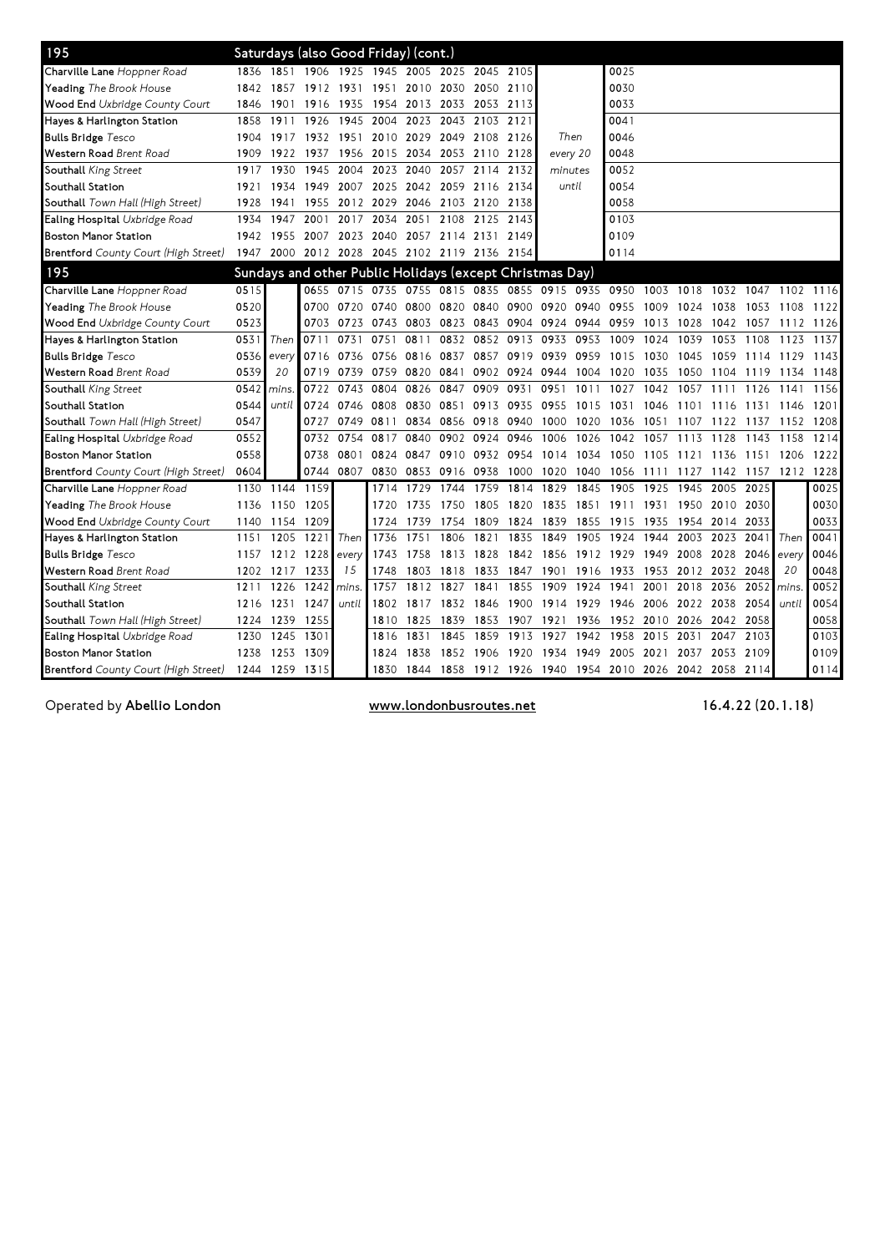| 195                                         |      |                     |           | Saturdays (also Good Friday) (cont.)                     |                          |                |                          |           |                                                        |                          |      |           |                          |           |           |           |                     |      |
|---------------------------------------------|------|---------------------|-----------|----------------------------------------------------------|--------------------------|----------------|--------------------------|-----------|--------------------------------------------------------|--------------------------|------|-----------|--------------------------|-----------|-----------|-----------|---------------------|------|
| Charville Lane Hoppner Road                 | 1836 | 1851                |           | 1906 1925                                                |                          |                | 1945 2005 2025 2045 2105 |           |                                                        |                          |      | 0025      |                          |           |           |           |                     |      |
| Yeading The Brook House                     | 1842 | 1857                | 1912 1931 |                                                          | 1951                     | 2010 2030      |                          | 2050 2110 |                                                        |                          |      | 0030      |                          |           |           |           |                     |      |
| Wood End Uxbridge County Court              | 1846 | 1901                | 1916      | 1935                                                     |                          | 1954 2013 2033 |                          | 2053 2113 |                                                        |                          |      | 0033      |                          |           |           |           |                     |      |
| Hayes & Harlington Station                  | 1858 | 1911                | 1926      | 1945                                                     | 2004                     | 2023           | 2043                     | 2103 2121 |                                                        |                          |      | 0041      |                          |           |           |           |                     |      |
| <b>Bulls Bridge</b> Tesco                   | 1904 | 1917                | 1932 1951 |                                                          |                          | 2010 2029 2049 |                          | 2108 2126 |                                                        | Then                     |      | 0046      |                          |           |           |           |                     |      |
| <b>Western Road</b> Brent Road              | 1909 | 1922                | 1937      | 1956                                                     |                          | 2015 2034 2053 |                          | 2110 2128 |                                                        | every 20                 |      | 0048      |                          |           |           |           |                     |      |
| Southall King Street                        | 1917 | 1930                | 1945      | 2004                                                     | 2023                     | 2040           | 2057                     | 2114      | 2132                                                   | minutes                  |      | 0052      |                          |           |           |           |                     |      |
| Southall Station                            | 1921 | 1934                | 1949      | 2007                                                     |                          | 2025 2042 2059 |                          | 2116 2134 |                                                        | until                    |      | 0054      |                          |           |           |           |                     |      |
| <b>Southall</b> Town Hall (High Street)     | 1928 | 1941                |           | 1955 2012                                                |                          |                | 2029 2046 2103 2120      |           | 2138                                                   |                          |      | 0058      |                          |           |           |           |                     |      |
| Ealing Hospital Uxbridge Road               | 1934 | 1947                | 2001      | 2017                                                     | 2034                     | 2051           | 2108                     | 2125 2143 |                                                        |                          |      | 0103      |                          |           |           |           |                     |      |
| <b>Boston Manor Station</b>                 | 1942 | 1955                | 2007 2023 |                                                          | 2040 2057 2114           |                |                          | 2131 2149 |                                                        |                          |      | 0109      |                          |           |           |           |                     |      |
| <b>Brentford</b> County Court (High Street) |      | 1947 2000 2012 2028 |           |                                                          | 2045 2102 2119 2136 2154 |                |                          |           |                                                        |                          |      | 0114      |                          |           |           |           |                     |      |
| 195                                         |      |                     |           | Sundays and other Public Holidays (except Christmas Day) |                          |                |                          |           |                                                        |                          |      |           |                          |           |           |           |                     |      |
| Charville Lane Hoppner Road                 | 0515 |                     |           | 0655 0715 0735 0755 0815 0835 0855 0915 0935             |                          |                |                          |           |                                                        |                          |      | 0950      | 1003                     | 1018      | 1032 1047 |           | 1102                | 1116 |
| Yeading The Brook House                     | 0520 |                     |           | 0700 0720                                                | 0740                     | 0800 0820      |                          |           | 0840 0900 0920                                         |                          | 0940 | 0955      | 1009                     | 1024      | 1038      | 1053      | 1108                | 1122 |
| Wood End Uxbridge County Court              | 0523 |                     |           | 0703 0723                                                |                          |                |                          |           | 0743 0803 0823 0843 0904 0924 0944 0959                |                          |      |           | 1013 1028                |           | 1042      | 1057      | 1112 1126           |      |
| Hayes & Harlington Station                  | 0531 | Then                | 0711      | 0731                                                     | 0751                     | 0811           | 0832                     | 0852 0913 |                                                        | 0933                     | 0953 | 1009      | 1024                     | 1039      | 1053      | 1108      | 1123                | 1137 |
| <b>Bulls Bridge Tesco</b>                   | 0536 | every               |           | 0716 0736                                                |                          | 0756 0816 0837 |                          |           | 0857 0919 0939                                         |                          | 0959 | 1015      | 1030                     | 1045      | 1059      | 1114 1129 |                     | 1143 |
| Western Road Brent Road                     | 0539 | 20                  |           | 0719 0739                                                |                          | 0759 0820      | 0841                     |           | 0902 0924                                              | 0944                     | 1004 | 1020      | 1035                     | 1050      | 1104      | 1119      | 1134                | 1148 |
| <b>Southall</b> King Street                 | 0542 | mins.               | 0722      | 0743                                                     | 0804                     | 0826           | 0847                     | 0909      | 0931                                                   | 0951                     | 1011 | 1027      | 1042                     | 1057      | 1111      | 1126      | 1141                | 1156 |
| Southall Station                            | 0544 | until               |           | 0724 0746                                                | 0808                     | 0830           | 0851                     | 0913 0935 |                                                        | 0955                     | 1015 | 1031      | 1046                     | 1101      | 1116      | 1131      | 1146                | 1201 |
| <b>Southall</b> Town Hall (High Street)     | 0547 |                     | 0727      | 0749                                                     | 0811                     |                | 0834 0856                | 0918 0940 |                                                        | 1000                     | 1020 | 1036      | 1051                     | 1107      | 1122      | 1137      | 1152 1208           |      |
| <b>Ealing Hospital</b> Uxbridge Road        | 0552 |                     |           | 0732 0754                                                | 0817                     | 0840           | 0902                     | 0924      | 0946                                                   | 1006                     | 1026 | 1042      | 1057                     | 1113      | 1128      | 1143      | 1158                | 1214 |
| <b>Boston Manor Station</b>                 | 0558 |                     |           | 0738 0801                                                | 0824                     | 0847           | 0910                     | 0932 0954 |                                                        | 1014 1034 1050           |      |           | 1105 1121 1136 1151 1206 |           |           |           |                     | 1222 |
| <b>Brentford</b> County Court (High Street) | 0604 |                     |           | 0744 0807                                                | 0830                     | 0853 0916      |                          | 0938 1000 |                                                        | 1020 1040 1056 1111 1127 |      |           |                          |           |           |           | 1142 1157 1212 1228 |      |
| Charville Lane Hoppner Road                 | 1130 | 1144                | 1159      |                                                          | 1714                     | 1729           | 1744                     | 1759      | 1814                                                   | 1829                     | 1845 | 1905      | 1925                     | 1945      | 2005      | 2025      |                     | 0025 |
| Yeading The Brook House                     | 1136 | 1150                | 1205      |                                                          | 1720                     | 1735           | 1750                     | 1805 1820 |                                                        | 1835                     | 1851 | 1911 1931 |                          | 1950      | 2010      | 2030      |                     | 0030 |
| Wood End Uxbridge County Court              | 1140 | 1154                | 1209      |                                                          | 1724                     | 1739           | 1754                     | 1809      | 1824                                                   | 1839                     | 1855 | 1915      | 1935                     | 1954 2014 |           | 2033      |                     | 0033 |
| Hayes & Harlington Station                  | 1151 | 1205                | 1221      | Then                                                     | 1736                     | 1751           | 1806                     | 1821      | 1835                                                   | 1849                     | 1905 | 1924      | 1944                     | 2003      | 2023      | 2041      | Then                | 0041 |
| <b>Bulls Bridge</b> Tesco                   | 1157 |                     | 1212 1228 | every                                                    | 1743                     | 1758           | 1813                     | 1828      | 1842                                                   | 1856                     | 1912 | 1929      | 1949                     | 2008      | 2028      | 2046      | every               | 0046 |
| Western Road Brent Road                     | 1202 | 1217                | 1233      | 15                                                       | 1748                     | 1803           | 1818                     | 1833      | 1847                                                   | 1901                     | 1916 | 1933      | 1953                     | 2012      | 2032      | 2048      | 20                  | 0048 |
| Southall King Street                        | 1211 | 1226                | 1242      | mins.                                                    | 1757                     | 1812           | 1827                     | 1841      | 1855                                                   | 1909                     | 1924 | 1941      | 2001                     | 2018      | 2036      | 2052      | mins.               | 0052 |
| Southall Station                            | 1216 | 1231                | 1247      | until                                                    | 1802                     | 1817           | 1832                     | 1846      | 1900                                                   | 1914 1929                |      | 1946      | 2006                     | 2022      | 2038      | 2054      | until               | 0054 |
| <b>Southall</b> Town Hall (High Street)     | 1224 | 1239                | 1255      |                                                          | 1810                     | 1825           | 1839                     | 1853 1907 |                                                        | 1921                     | 1936 | 1952      | 2010 2026                |           | 2042 2058 |           |                     | 0058 |
| Ealing Hospital Uxbridge Road               | 1230 | 1245                | 1301      |                                                          | 1816                     | 1831           | 1845                     | 1859      | 1913                                                   | 1927                     | 1942 | 1958      | 2015                     | 2031      | 2047 2103 |           |                     | 0103 |
| <b>Boston Manor Station</b>                 | 1238 | 1253                | 1309      |                                                          | 1824                     | 1838           | 1852                     | 1906 1920 |                                                        | 1934                     | 1949 | 2005      | 2021                     | 2037      | 2053      | 2109      |                     | 0109 |
| <b>Brentford</b> County Court (High Street) |      | 1244 1259 1315      |           |                                                          | 1830                     |                |                          |           | 1844 1858 1912 1926 1940 1954 2010 2026 2042 2058 2114 |                          |      |           |                          |           |           |           |                     | 0114 |

Operated by Abellio London **www.londonbusroutes.net** 16.4.22 (20.1.18)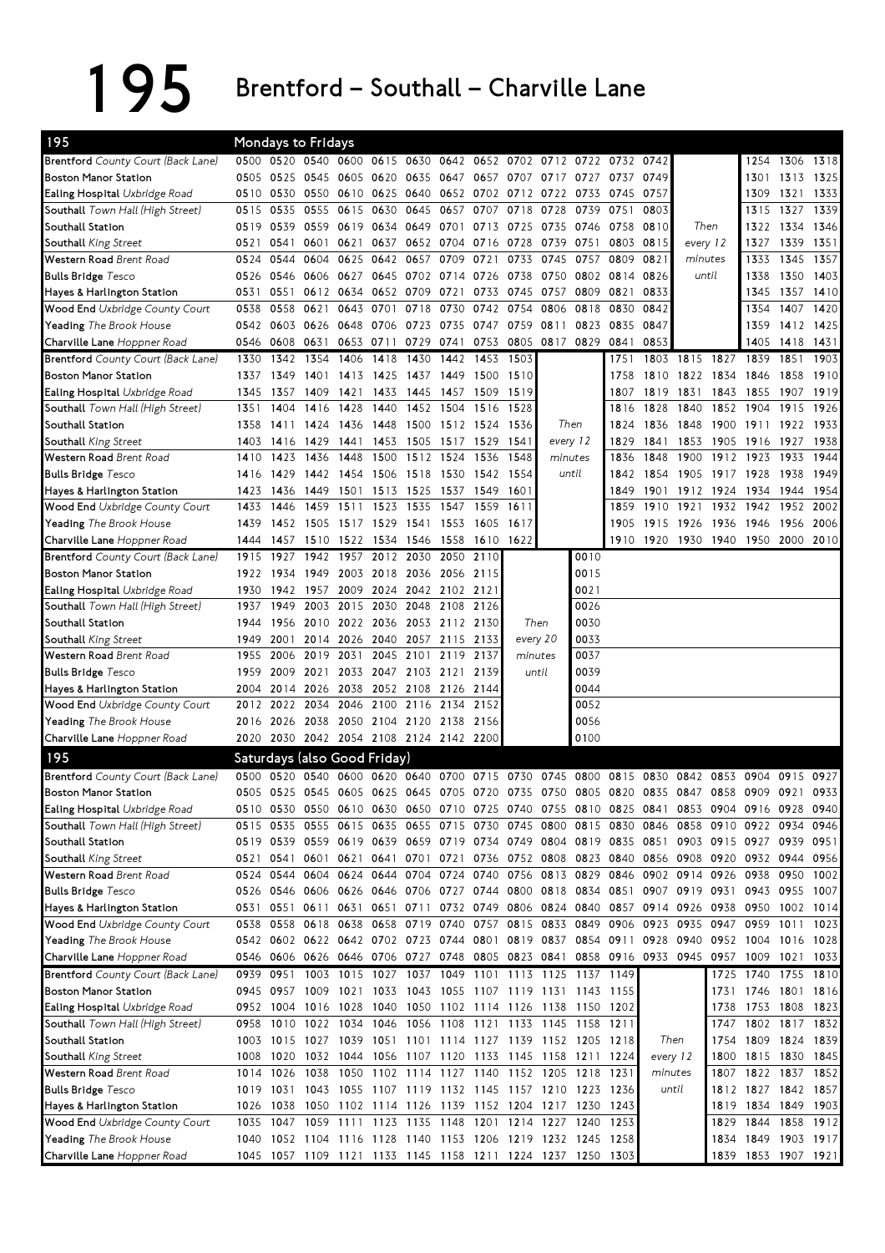195 Brentford – Southall – Charville Lane

| 195                                       |      |           | Mondays to Fridays            |                          |           |                |                     |                                                                                           |                                                             |          |                        |      |                                    |                |           |                     |           |      |
|-------------------------------------------|------|-----------|-------------------------------|--------------------------|-----------|----------------|---------------------|-------------------------------------------------------------------------------------------|-------------------------------------------------------------|----------|------------------------|------|------------------------------------|----------------|-----------|---------------------|-----------|------|
| <b>Brentford</b> County Court (Back Lane) |      |           |                               |                          |           |                |                     | 0500 0520 0540 0600 0615 0630 0642 0652 0702 0712 0722 0732                               |                                                             |          |                        |      | 0742                               |                |           | 1254                | 1306      | 1318 |
| Boston Manor Station                      | 0505 | 0525      | 0545                          | 0605                     | 0620      |                | 0635 0647           | 0657 0707                                                                                 |                                                             | 0717     | 0727 0737              |      | 0749                               |                |           | 1301                | 1313      | 1325 |
| <b>Ealing Hospital</b> Uxbridge Road      | 0510 | 0530      |                               |                          |           |                |                     | 0550 0610 0625 0640 0652 0702 0712                                                        |                                                             | 0722     | 0733                   | 0745 | 0757                               |                |           | 1309                | 1321      | 1333 |
| Southall Town Hall (High Street)          | 0515 | 0535      | 0555 0615                     |                          | 0630      | 0645           | 0657                |                                                                                           | 0707 0718                                                   | 0728     | 0739                   | 0751 | 0803                               |                |           | 1315                | 1327      | 1339 |
| Southall Station                          | 0519 | 0539      | 0559 0619                     |                          |           | 0634 0649 0701 |                     |                                                                                           | 0713 0725                                                   | 0735     | 0746 0758              |      | 0810                               | Then           |           | 1322                | 1334      | 1346 |
| Southall King Street                      | 0521 | 0541      | 0601                          | 0621                     | 0637      |                | 0652 0704           | 0716 0728                                                                                 |                                                             | 0739     | 0751                   | 0803 | 0815                               | every 12       |           | 1327                | 1339      | 1351 |
| Western Road Brent Road                   | 0524 | 0544      | 0604                          | 0625                     | 0642      | 0657           | 0709                | 0721                                                                                      | 0733                                                        | 0745     | 0757                   | 0809 | 0821<br>minutes                    |                |           | 1333                | 1345      | 1357 |
| <b>Bulls Bridge</b> Tesco                 | 0526 | 0546      | 0606 0627                     |                          |           | 0645 0702 0714 |                     | 0726 0738                                                                                 |                                                             |          | 0750 0802 0814<br>0826 |      |                                    | until          |           | 1338                | 1350      | 1403 |
| Hayes & Harlington Station                | 0531 | 0551      |                               | 0612 0634                |           | 0652 0709 0721 |                     | 0733                                                                                      | 0745                                                        | 0757     | 0809                   | 0821 | 0833                               |                |           | 1345                | 1357      | 1410 |
| <b>Wood End</b> Uxbridge County Court     | 0538 | 0558      | 0621                          | 0643                     | 0701      | 0718           | 0730                | 0742                                                                                      | 0754                                                        | 0806     | 0818                   | 0830 | 0842                               |                |           | 1354                | 1407      | 1420 |
| <b>Yeading</b> The Brook House            | 0542 |           | 0603 0626 0648                |                          |           | 0706 0723 0735 |                     | 0747 0759                                                                                 |                                                             | 0811     | 0823 0835              |      | 0847                               |                |           | 1359                | 1412 1425 |      |
| Charville Lane Hoppner Road               | 0546 | 0608      | 0631                          | 0653                     | 0711      |                |                     | 0729 0741 0753 0805 0817 0829 0841                                                        |                                                             |          |                        |      | 0853                               |                |           | 1405                | 1418 1431 |      |
| <b>Brentford</b> County Court (Back Lane) | 1330 | 1342      | 1354                          | 1406                     | 1418      | 1430           | 1442                | 1453                                                                                      | 1503                                                        |          |                        | 1751 | 1803                               | 1815           | 1827      | 1839                | 1851      | 1903 |
| <b>Boston Manor Station</b>               | 1337 | 1349      | 1401                          | 1413                     | 1425      | 1437           | 1449                | 1500                                                                                      | 1510                                                        |          |                        | 1758 | 1810                               | 1822           | 1834      | 1846                | 1858      | 1910 |
| <b>Ealing Hospital</b> Uxbridge Road      | 1345 | 1357      | 1409                          | 1421                     | 1433      | 1445           | 1457                | 1509                                                                                      | 1519                                                        |          |                        | 1807 | 1819                               | 1831           | 1843      | 1855                | 1907      | 1919 |
| <b>Southall</b> Town Hall (High Street)   | 1351 | 1404      | 1416                          | 1428                     | 1440      |                | 1452 1504           | 1516                                                                                      | 1528                                                        |          |                        | 1816 | 1828                               | 1840           | 1852      | 1904                | 1915      | 1926 |
| Southall Station                          | 1358 | 1411      | 1424                          | 1436                     | 1448      | 1500           | 1512                | 1524                                                                                      | 1536                                                        |          | Then                   | 1824 | 1836                               | 1848           | 1900      | 1911                | 1922      | 1933 |
| Southall King Street                      | 1403 | 1416      | 1429                          | 1441                     | 1453      | 1505           | 1517                | 1529                                                                                      | 1541                                                        | every 12 |                        | 1829 | 1841                               | 1853           | 1905      | 1916                | 1927      | 1938 |
| Western Road Brent Road                   | 1410 | 1423      | 1436                          | 1448                     | 1500      | 1512           | 1524                | 1536                                                                                      | 1548                                                        | minutes  |                        | 1836 | 1848                               | 1900           | 1912      | 1923                | 1933      | 1944 |
| <b>Bulls Bridge</b> Tesco                 | 1416 | 1429      | 1442                          | 1454                     | 1506      | 1518           | 1530                | 1542                                                                                      | 1554                                                        |          | until                  | 1842 | 1854                               | 1905           | 1917 1928 |                     | 1938      | 1949 |
| Hayes & Harlington Station                | 1423 | 1436      | 1449 1501                     |                          |           | 1513 1525      | 1537                | 1549                                                                                      | 1601                                                        |          |                        | 1849 |                                    | 1901 1912      | 1924      | 1934                | 1944      | 1954 |
| Wood End Uxbridge County Court            | 1433 | 1446      | 1459                          | 1511                     |           | 1523 1535      | 1547                | 1559                                                                                      | 1611                                                        |          |                        | 1859 | 1910 1921                          |                | 1932      | 1942                | 1952      | 2002 |
| <b>Yeading</b> The Brook House            | 1439 | 1452      | 1505 1517                     |                          | 1529      | 1541           | 1553                | 1605 1617                                                                                 |                                                             |          |                        | 1905 | 1915                               | 1926           | 1936      | 1946                | 1956      | 2006 |
| Charville Lane Hoppner Road               | 1444 | 1457      | 1510 1522                     |                          | 1534 1546 |                | 1558                |                                                                                           | 1610 1622                                                   |          |                        |      | 1910 1920 1930 1940 1950 2000 2010 |                |           |                     |           |      |
| <b>Brentford</b> County Court (Back Lane) | 1915 | 1927      | 1942                          | 1957                     |           | 2012 2030      | 2050                | 2110                                                                                      |                                                             |          | 0010                   |      |                                    |                |           |                     |           |      |
| <b>Boston Manor Station</b>               | 1922 | 1934      | 1949                          | 2003                     |           |                | 2018 2036 2056 2115 |                                                                                           |                                                             |          | 0015                   |      |                                    |                |           |                     |           |      |
| <b>Ealing Hospital</b> Uxbridge Road      | 1930 | 1942      | 1957 2009                     |                          |           |                | 2024 2042 2102 2121 |                                                                                           |                                                             |          | 0021                   |      |                                    |                |           |                     |           |      |
| Southall Town Hall (High Street)          | 1937 | 1949      | 2003                          | 2015                     | 2030      | 2048           | 2108                | 2126                                                                                      |                                                             |          | 0026                   |      |                                    |                |           |                     |           |      |
| Southall Station                          | 1944 | 1956      |                               | 2010 2022 2036 2053 2112 |           |                |                     | 2130                                                                                      | Then                                                        |          | 0030                   |      |                                    |                |           |                     |           |      |
| Southall King Street                      | 1949 | 2001      |                               | 2014 2026                |           | 2040 2057 2115 |                     | 2133                                                                                      | every 20                                                    |          | 0033                   |      |                                    |                |           |                     |           |      |
| Western Road Brent Road                   | 1955 | 2006      | 2019 2031                     |                          |           | 2045 2101      | 2119                | 2137                                                                                      | minutes                                                     |          | 0037                   |      |                                    |                |           |                     |           |      |
| <b>Bulls Bridge</b> Tesco                 | 1959 | 2009      | 2021 2033                     |                          |           |                | 2047 2103 2121 2139 |                                                                                           | until                                                       |          | 0039                   |      |                                    |                |           |                     |           |      |
| Hayes & Harlington Station                | 2004 | 2014      | 2026 2038                     |                          |           | 2052 2108 2126 |                     | 2144                                                                                      |                                                             |          | 0044                   |      |                                    |                |           |                     |           |      |
| Wood End Uxbridge County Court            | 2012 | 2022      | 2034 2046                     |                          | 2100      | 2116           | 2134                | 2152                                                                                      |                                                             |          | 0052                   |      |                                    |                |           |                     |           |      |
| <b>Yeading</b> The Brook House            | 2016 | 2026      | 2038                          | 2050                     |           | 2104 2120 2138 |                     | 2156                                                                                      |                                                             |          | 0056                   |      |                                    |                |           |                     |           |      |
| Charville Lane Hoppner Road               | 2020 | 2030      | 2042 2054 2108 2124 2142 2200 |                          |           |                |                     |                                                                                           |                                                             |          | 0100                   |      |                                    |                |           |                     |           |      |
| 195                                       |      |           | Saturdays (also Good Friday)  |                          |           |                |                     |                                                                                           |                                                             |          |                        |      |                                    |                |           |                     |           |      |
| <b>Brentford</b> County Court (Back Lane) | 0500 | 0520      |                               |                          |           |                |                     | 0540 0600 0620 0640 0700 0715 0730                                                        |                                                             | 0745     | 0800                   | 0815 | 0830                               | 0842 0853      |           | 0904                | 0915      | 0927 |
| <b>Boston Manor Station</b>               | 0505 |           |                               |                          |           |                |                     | 0525 0545 0605 0625 0645 0705 0720 0735 0750 0805 0820 0835                               |                                                             |          |                        |      |                                    | 0847 0858 0909 |           |                     | 0921      | 0933 |
| Ealing Hospital Uxbridge Road             |      |           |                               |                          |           |                |                     | 0510 0530 0550 0610 0630 0650 0710 0725 0740 0755 0810 0825 0841 0853 0904 0916 0928 0940 |                                                             |          |                        |      |                                    |                |           |                     |           |      |
| <b>Southall</b> Town Hall (High Street)   | 0515 |           | 0535 0555 0615                |                          |           |                |                     | 0635 0655 0715 0730 0745 0800 0815 0830 0846 0858 0910 0922 0934 0946                     |                                                             |          |                        |      |                                    |                |           |                     |           |      |
| Southall Station                          |      |           |                               |                          |           |                |                     | 0519 0539 0559 0619 0639 0659 0719 0734 0749 0804 0819 0835 0851 0903 0915 0927 0939 0951 |                                                             |          |                        |      |                                    |                |           |                     |           |      |
| Southall King Street                      | 0521 | 0541      |                               | 0601 0621                |           |                |                     | 0641 0701 0721 0736 0752 0808 0823 0840 0856 0908 0920 0932 0944 0956                     |                                                             |          |                        |      |                                    |                |           |                     |           |      |
| Western Road Brent Road                   |      | 0524 0544 |                               |                          |           |                |                     | 0604 0624 0644 0704 0724 0740 0756 0813 0829 0846 0902 0914 0926 0938 0950                |                                                             |          |                        |      |                                    |                |           |                     |           | 1002 |
| <b>Bulls Bridge</b> Tesco                 | 0526 |           | 0546 0606 0626                |                          |           |                |                     | 0646 0706 0727 0744 0800 0818 0834 0851 0907 0919 0931 0943 0955                          |                                                             |          |                        |      |                                    |                |           |                     |           | 1007 |
| Hayes & Harlington Station                |      | 0531 0551 |                               | 0611 0631                |           |                |                     | 0651 0711 0732 0749 0806 0824 0840 0857 0914 0926 0938 0950 1002                          |                                                             |          |                        |      |                                    |                |           |                     |           | 1014 |
| <b>Wood End</b> Uxbridge County Court     | 0538 | 0558      | 0618 0638                     |                          |           |                |                     | 0658 0719 0740 0757 0815 0833 0849 0906                                                   |                                                             |          |                        |      | 0923 0935                          |                | 0947 0959 |                     | 1011      | 1023 |
| Yeading The Brook House                   |      |           |                               |                          |           |                |                     | 0542 0602 0622 0642 0702 0723 0744 0801 0819 0837 0854 0911 0928 0940 0952 1004 1016 1028 |                                                             |          |                        |      |                                    |                |           |                     |           |      |
| Charville Lane Hoppner Road               |      |           |                               |                          |           |                |                     | 0546 0606 0626 0646 0706 0727 0748 0805 0823 0841 0858 0916 0933 0945 0957 1009 1021 1033 |                                                             |          |                        |      |                                    |                |           |                     |           |      |
| <b>Brentford</b> County Court (Back Lane) | 0939 | 0951      |                               |                          |           |                |                     | 1003 1015 1027 1037 1049 1101 1113 1125 1137 1149                                         |                                                             |          |                        |      |                                    |                |           | 1725 1740 1755 1810 |           |      |
| <b>Boston Manor Station</b>               |      | 0945 0957 |                               |                          |           |                |                     | 1009 1021 1033 1043 1055 1107 1119 1131 1143 1155                                         |                                                             |          |                        |      |                                    |                |           | 1731 1746 1801 1816 |           |      |
| Ealing Hospital Uxbridge Road             |      | 0952 1004 | 1016 1028                     |                          |           |                |                     | 1040 1050 1102 1114 1126 1138 1150 1202                                                   |                                                             |          |                        |      |                                    |                | 1738      | 1753 1808 1823      |           |      |
| <b>Southall</b> Town Hall (High Street)   | 0958 | 1010      |                               |                          |           |                |                     | 1022 1034 1046 1056 1108 1121 1133 1145 1158 1211                                         |                                                             |          |                        |      |                                    |                | 1747      | 1802 1817 1832      |           |      |
| Southall Station                          |      |           | 1003 1015 1027 1039           |                          |           |                |                     | 1051 1101 1114 1127 1139 1152 1205 1218                                                   |                                                             |          |                        |      | Then                               |                | 1754      | 1809 1824 1839      |           |      |
| Southall <i>King Street</i>               | 1008 | 1020      |                               |                          |           |                |                     | 1032 1044 1056 1107 1120 1133 1145 1158 1211 1224                                         |                                                             |          |                        |      | every 12                           |                | 1800      | 1815 1830 1845      |           |      |
| Western Road Brent Road                   |      | 1014 1026 |                               |                          |           |                |                     | 1038 1050 1102 1114 1127 1140 1152 1205 1218 1231                                         |                                                             |          |                        |      | minutes                            |                | 1807      | 1822 1837 1852      |           |      |
| <b>Bulls Bridge</b> Tesco                 |      | 1019 1031 |                               |                          |           |                |                     | 1043 1055 1107 1119 1132 1145 1157 1210 1223 1236                                         |                                                             |          |                        |      | until                              |                |           | 1812 1827 1842 1857 |           |      |
| Hayes & Harlington Station                | 1026 | 1038      |                               |                          |           |                |                     | 1050 1102 1114 1126 1139 1152 1204 1217 1230                                              |                                                             |          |                        | 1243 |                                    |                |           | 1819 1834 1849 1903 |           |      |
| <b>Wood End</b> Uxbridge County Court     | 1035 |           | 1047 1059 1111 1123 1135 1148 |                          |           |                |                     | 1201 1214 1227 1240                                                                       |                                                             |          |                        | 1253 |                                    |                |           | 1829 1844 1858 1912 |           |      |
| <b>Yeading</b> The Brook House            | 1040 |           |                               |                          |           |                |                     | 1052 1104 1116 1128 1140 1153 1206 1219 1232 1245 1258                                    |                                                             |          |                        |      |                                    |                | 1834      | 1849 1903 1917      |           |      |
| Charville Lane Hoppner Road               |      |           |                               |                          |           |                |                     |                                                                                           | 1045 1057 1109 1121 1133 1145 1158 1211 1224 1237 1250 1303 |          |                        |      |                                    |                |           | 1839 1853 1907 1921 |           |      |